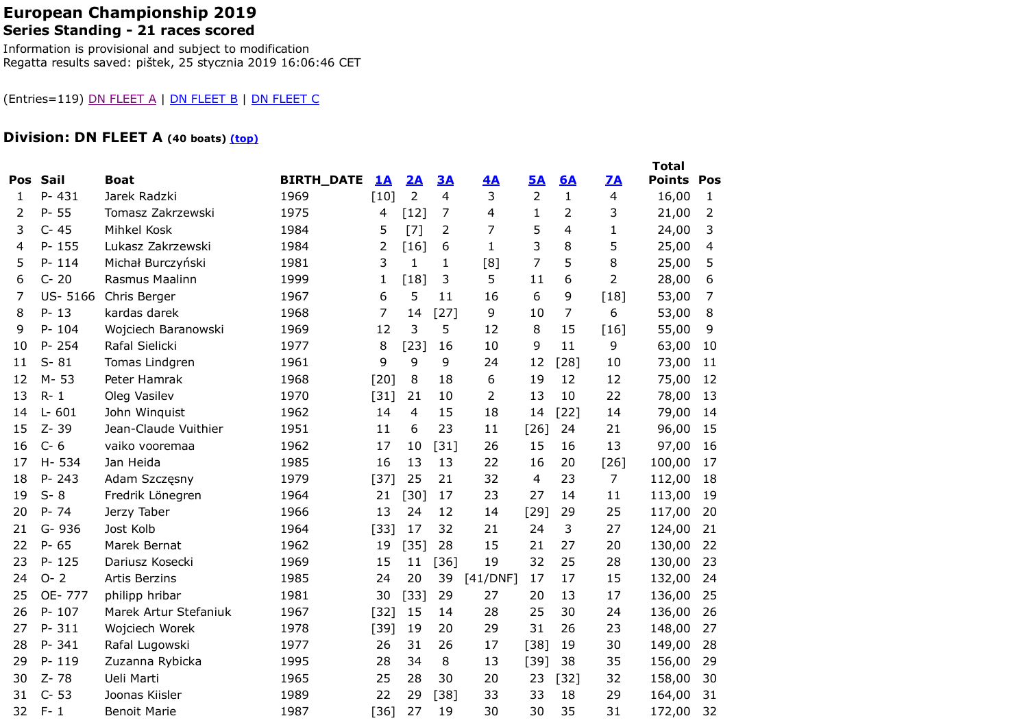### European Championship 2019Series Standing - 21 races scored

Information is provisional and subject to modification Regatta results saved: pištek, 25 stycznia 2019 16:06:46 CET

#### (Entries=119) DN FLEET A | DN FLEET B | DN FLEET C

# Division: DN FLEET A (40 boats) <u>(top)</u>

|     |           |                       |                   |           |                |                |          |                |              |                | <b>Total</b>  |              |
|-----|-----------|-----------------------|-------------------|-----------|----------------|----------------|----------|----------------|--------------|----------------|---------------|--------------|
| Pos | Sail      | <b>Boat</b>           | <b>BIRTH_DATE</b> | <u>1A</u> | 2A             | 3A             | 4A       | <b>5A</b>      | <b>6A</b>    | 7A             | <b>Points</b> | Pos          |
| 1   | P-431     | Jarek Radzki          | 1969              | $[10]$    | $\overline{2}$ | 4              | 3        | $\overline{2}$ | $\mathbf{1}$ | 4              | 16,00         | $\mathbf{1}$ |
| 2   | $P - 55$  | Tomasz Zakrzewski     | 1975              | 4         | $[12]$         | $\overline{7}$ | 4        | $\mathbf{1}$   | 2            | 3              | 21,00         | 2            |
| 3   | $C - 45$  | Mihkel Kosk           | 1984              | 5         | [7]            | 2              | 7        | 5              | 4            | $\mathbf{1}$   | 24,00         | 3            |
| 4   | $P - 155$ | Lukasz Zakrzewski     | 1984              | 2         | $[16]$         | 6              | 1        | 3              | 8            | 5              | 25,00         | 4            |
| 5   | $P - 114$ | Michał Burczyński     | 1981              | 3         | 1              | 1              | [8]      | $\overline{7}$ | 5            | 8              | 25,00         | 5            |
| 6   | $C - 20$  | Rasmus Maalinn        | 1999              | 1         | $[18]$         | 3              | 5        | 11             | 6            | 2              | 28,00         | 6            |
| 7   | US-5166   | Chris Berger          | 1967              | 6         | 5              | 11             | 16       | 6              | 9            | [18]           | 53,00         | 7            |
| 8   | $P - 13$  | kardas darek          | 1968              | 7         | 14             | $[27]$         | 9        | 10             | 7            | 6              | 53,00         | 8            |
| 9   | $P - 104$ | Wojciech Baranowski   | 1969              | 12        | 3              | 5              | 12       | 8              | 15           | $[16]$         | 55,00         | 9            |
| 10  | P-254     | Rafal Sielicki        | 1977              | 8         | $[23]$         | 16             | 10       | 9              | 11           | 9              | 63,00         | 10           |
| 11  | $S - 81$  | Tomas Lindgren        | 1961              | 9         | 9              | 9              | 24       | 12             | $[28]$       | 10             | 73,00         | 11           |
| 12  | M-53      | Peter Hamrak          | 1968              | $[20]$    | $\,8\,$        | 18             | 6        | 19             | 12           | 12             | 75,00         | 12           |
| 13  | $R - 1$   | Oleg Vasilev          | 1970              | $[31]$    | 21             | 10             | 2        | 13             | 10           | 22             | 78,00         | 13           |
| 14  | $L - 601$ | John Winquist         | 1962              | 14        | 4              | 15             | 18       | 14             | $[22]$       | 14             | 79,00         | 14           |
| 15  | Z-39      | Jean-Claude Vuithier  | 1951              | 11        | 6              | 23             | 11       | $[26]$         | 24           | 21             | 96,00         | 15           |
| 16  | $C - 6$   | vaiko vooremaa        | 1962              | 17        | 10             | $[31]$         | 26       | 15             | 16           | 13             | 97,00         | 16           |
| 17  | H-534     | Jan Heida             | 1985              | 16        | 13             | 13             | 22       | 16             | 20           | $[26]$         | 100,00        | 17           |
| 18  | $P - 243$ | Adam Szczęsny         | 1979              | $[37]$    | 25             | 21             | 32       | $\overline{4}$ | 23           | $\overline{7}$ | 112,00        | 18           |
| 19  | $S - 8$   | Fredrik Lönegren      | 1964              | 21        | $[30]$         | 17             | 23       | 27             | 14           | 11             | 113,00        | 19           |
| 20  | $P - 74$  | Jerzy Taber           | 1966              | 13        | 24             | 12             | 14       | $[29]$         | 29           | 25             | 117,00        | 20           |
| 21  | G-936     | Jost Kolb             | 1964              | [33]      | 17             | 32             | 21       | 24             | 3            | 27             | 124,00        | 21           |
| 22  | $P - 65$  | Marek Bernat          | 1962              | 19        | $[35]$         | 28             | 15       | 21             | 27           | 20             | 130,00        | 22           |
| 23  | $P - 125$ | Dariusz Kosecki       | 1969              | 15        | 11             | [36]           | 19       | 32             | 25           | 28             | 130,00        | 23           |
| 24  | $O - 2$   | <b>Artis Berzins</b>  | 1985              | 24        | 20             | 39             | [41/DNF] | 17             | 17           | 15             | 132,00        | 24           |
| 25  | OE-777    | philipp hribar        | 1981              | 30        | [33]           | 29             | 27       | 20             | 13           | 17             | 136,00        | 25           |
| 26  | P-107     | Marek Artur Stefaniuk | 1967              | $[32]$    | 15             | 14             | 28       | 25             | 30           | 24             | 136,00        | 26           |
| 27  | P-311     | Wojciech Worek        | 1978              | $[39]$    | 19             | 20             | 29       | 31             | 26           | 23             | 148,00        | 27           |
| 28  | P-341     | Rafal Lugowski        | 1977              | 26        | 31             | 26             | 17       | $[38]$         | 19           | 30             | 149,00        | 28           |
| 29  | P-119     | Zuzanna Rybicka       | 1995              | 28        | 34             | 8              | 13       | $[39]$         | 38           | 35             | 156,00        | 29           |
| 30  | $Z - 78$  | Ueli Marti            | 1965              | 25        | 28             | 30             | 20       | 23             | $[32]$       | 32             | 158,00        | 30           |
| 31  | $C - 53$  | Joonas Kiisler        | 1989              | 22        | 29             | [38]           | 33       | 33             | 18           | 29             | 164,00        | 31           |
| 32  | $F - 1$   | <b>Benoit Marie</b>   | 1987              | $[36]$    | 27             | 19             | 30       | 30             | 35           | 31             | 172,00        | 32           |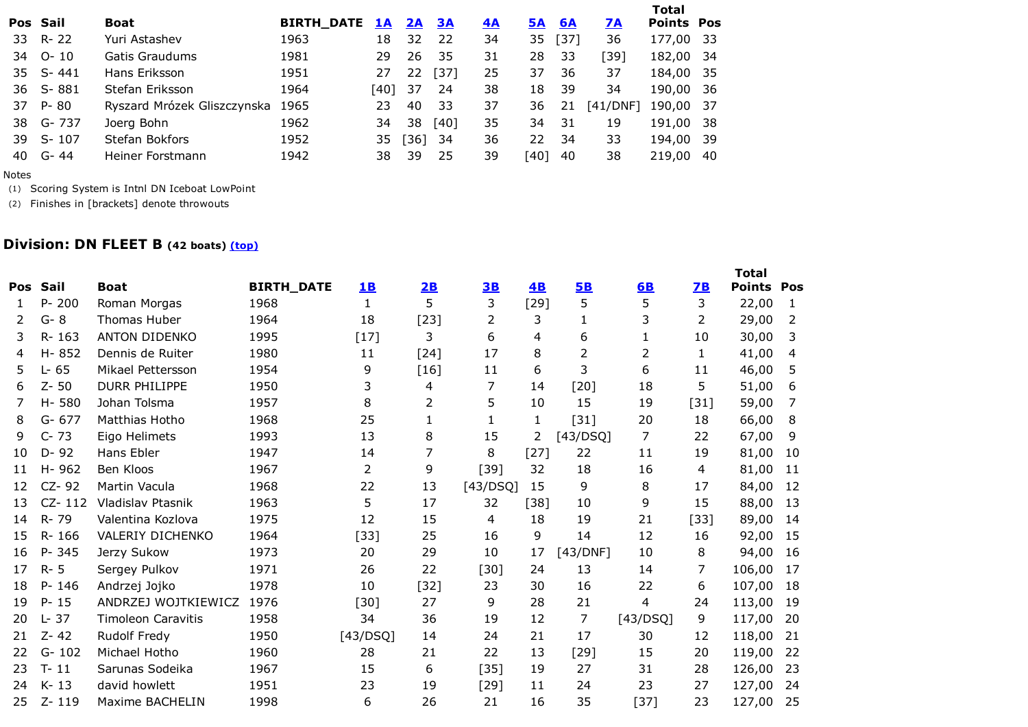|    |          |                             |                   |           |           |        |           |           |           |           | Total             |     |
|----|----------|-----------------------------|-------------------|-----------|-----------|--------|-----------|-----------|-----------|-----------|-------------------|-----|
|    | Pos Sail | Boat                        | <b>BIRTH_DATE</b> | <u>1A</u> | <u>2A</u> | 3A     | <u>4A</u> | <b>5A</b> | <b>6A</b> | <b>7A</b> | <b>Points Pos</b> |     |
|    | 33 R-22  | Yuri Astashev               | 1963              | 18        | 32        | 22     | 34        | 35        | $[37]$    | 36        | 177,00 33         |     |
| 34 | O- 10    | Gatis Graudums              | 1981              | 29        | 26        | -35    | 31        | 28        | -33       | [39]      | 182,00 34         |     |
|    | 35 S-441 | Hans Eriksson               | 1951              | 27        | 22        | $[37]$ | 25        | 37        | 36        | 37        | 184,00 35         |     |
|    | 36 S-881 | Stefan Eriksson             | 1964              | [40]      | 37        | 24     | 38        | 18        | 39        | 34        | 190,00 36         |     |
| 37 | P-80     | Ryszard Mrózek Gliszczynska | 1965              | 23        | 40        | -33    | 37        | 36        | 21        | [41/DNF]  | 190,00 37         |     |
| 38 | G- 737   | Joerg Bohn                  | 1962              | 34        | 38        | $[40]$ | 35        | 34        | -31       | 19        | 191,00 38         |     |
| 39 | S-107    | Stefan Bokfors              | 1952              | 35.       | $[36]$    | 34     | 36        | 22.       | 34        | 33        | 194,00 39         |     |
| 40 | G- 44    | Heiner Forstmann            | 1942              | 38        | 39        | 25     | 39        | [40]      | 40        | 38        | 219,00            | -40 |
|    |          |                             |                   |           |           |        |           |           |           |           |                   |     |

Notes

(1) Scoring System is Intnl DN Iceboat LowPoint

(2) Finishes in [brackets] denote throwouts

## Division: DN FLEET B (42 boats) <u>(top)</u>

| <b>Pos</b> | Sail       | <b>Boat</b>               | <b>BIRTH_DATE</b> | <u>1B</u>      | 2B             | 3B       | 4B     | 5B       | 6B       | 7B     | <b>Total</b><br><b>Points</b> | Pos |
|------------|------------|---------------------------|-------------------|----------------|----------------|----------|--------|----------|----------|--------|-------------------------------|-----|
| 1.         | $P - 200$  | Roman Morgas              | 1968              | $\mathbf{1}$   | 5              | 3        | $[29]$ | 5        | 5        | 3      | 22,00                         | 1   |
| 2          | $G-8$      | <b>Thomas Huber</b>       | 1964              | 18             | $[23]$         | 2        | 3      | 1        | 3        | 2      | 29,00                         | 2   |
| 3          | R-163      | <b>ANTON DIDENKO</b>      | 1995              | $[17]$         | 3              | 6        | 4      | 6        | 1        | 10     | 30,00                         | 3   |
| 4          | $H - 852$  | Dennis de Ruiter          | 1980              | 11             | [24]           | 17       | 8      | 2        | 2        | 1      | 41,00                         | 4   |
| 5          | $L - 65$   | Mikael Pettersson         | 1954              | 9              | [16]           | 11       | 6      | 3        | 6        | 11     | 46,00                         | 5   |
| 6          | $Z - 50$   | <b>DURR PHILIPPE</b>      | 1950              | 3              | 4              | 7        | 14     | $[20]$   | 18       | 5      | 51,00                         | 6   |
| 7          | H-580      | Johan Tolsma              | 1957              | 8              | 2              | 5        | 10     | 15       | 19       | $[31]$ | 59,00                         | 7   |
| 8          | $G - 677$  | Matthias Hotho            | 1968              | 25             | 1              | 1        | 1      | $[31]$   | 20       | 18     | 66,00                         | 8   |
| 9          | $C - 73$   | Eigo Helimets             | 1993              | 13             | 8              | 15       | 2      | [43/DSQ] | 7        | 22     | 67,00                         | 9   |
| 10         | $D - 92$   | Hans Ebler                | 1947              | 14             | $\overline{7}$ | 8        | $[27]$ | 22       | 11       | 19     | 81,00                         | 10  |
| 11         | H-962      | Ben Kloos                 | 1967              | $\overline{2}$ | 9              | $[39]$   | 32     | 18       | 16       | 4      | 81,00                         | 11  |
| 12         | CZ-92      | Martin Vacula             | 1968              | 22             | 13             | [43/DSQ] | 15     | 9        | 8        | 17     | 84,00                         | 12  |
| 13         | $CZ - 112$ | Vladislav Ptasnik         | 1963              | 5              | 17             | 32       | [38]   | 10       | 9        | 15     | 88,00                         | 13  |
| 14         | R-79       | Valentina Kozlova         | 1975              | 12             | 15             | 4        | 18     | 19       | 21       | $[33]$ | 89,00                         | 14  |
| 15         | R-166      | <b>VALERIY DICHENKO</b>   | 1964              | $[33]$         | 25             | 16       | 9      | 14       | 12       | 16     | 92,00                         | 15  |
| 16         | P-345      | Jerzy Sukow               | 1973              | 20             | 29             | 10       | 17     | [43/DNF] | 10       | 8      | 94,00                         | 16  |
| 17         | $R - 5$    | Sergey Pulkov             | 1971              | 26             | 22             | $[30]$   | 24     | 13       | 14       | 7      | 106,00                        | 17  |
| 18         | P-146      | Andrzej Jojko             | 1978              | 10             | $[32]$         | 23       | 30     | 16       | 22       | 6      | 107,00                        | 18  |
| 19         | $P - 15$   | ANDRZEJ WOJTKIEWICZ       | 1976              | $[30]$         | 27             | 9        | 28     | 21       | 4        | 24     | 113,00                        | 19  |
| 20         | 37<br>Ŀ.   | <b>Timoleon Caravitis</b> | 1958              | 34             | 36             | 19       | 12     | 7        | [43/DSQ] | 9      | 117,00                        | 20  |
| 21         | $Z - 42$   | Rudolf Fredy              | 1950              | [43/DSQ]       | 14             | 24       | 21     | 17       | 30       | 12     | 118,00                        | 21  |
| 22         | $G - 102$  | Michael Hotho             | 1960              | 28             | 21             | 22       | 13     | $[29]$   | 15       | 20     | 119,00                        | 22  |
| 23         | $T - 11$   | Sarunas Sodeika           | 1967              | 15             | 6              | $[35]$   | 19     | 27       | 31       | 28     | 126,00                        | 23  |
| 24         | $K - 13$   | david howlett             | 1951              | 23             | 19             | [29]     | 11     | 24       | 23       | 27     | 127,00                        | 24  |
| 25         | Z-119      | Maxime BACHELIN           | 1998              | 6              | 26             | 21       | 16     | 35       | $[37]$   | 23     | 127,00                        | 25  |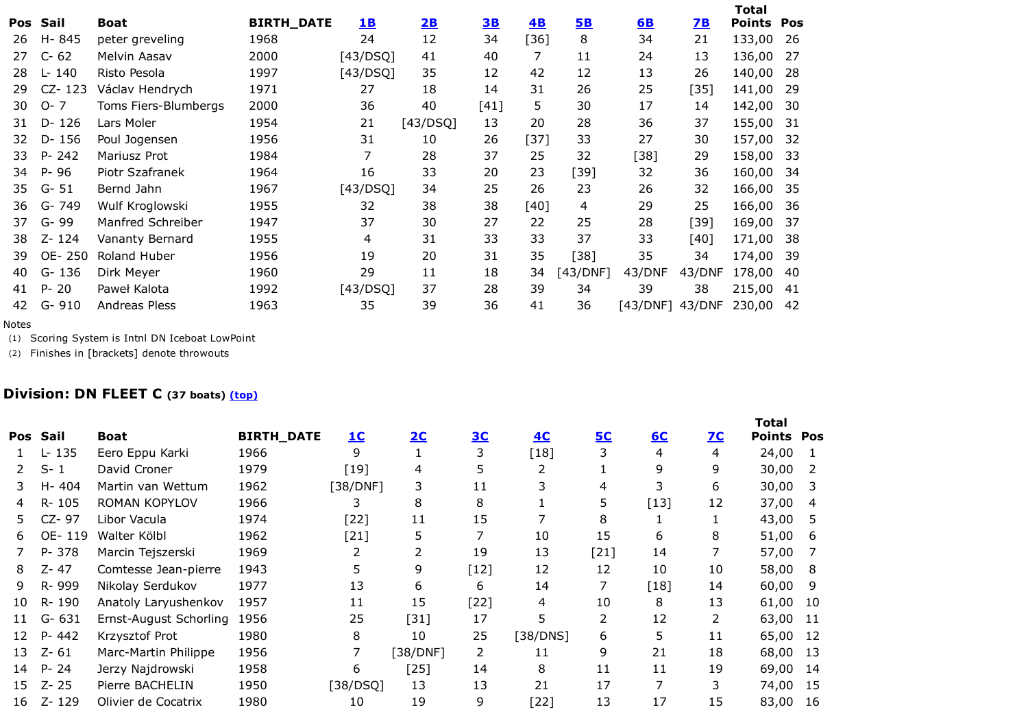|            |             |                      |                   |           |          |      |        |          |          |        | <b>Total</b> |     |
|------------|-------------|----------------------|-------------------|-----------|----------|------|--------|----------|----------|--------|--------------|-----|
| <b>Pos</b> | Sail        | <b>Boat</b>          | <b>BIRTH_DATE</b> | <b>1B</b> | 2B       | 3B   | 4B     | 5B       | 6B       | 2B     | Points       | Pos |
| 26         | H-845       | peter greveling      | 1968              | 24        | 12       | 34   | [36]   | 8        | 34       | 21     | 133,00       | -26 |
| 27         | $C - 62$    | Melvin Aasav         | 2000              | [43/DSQ]  | 41       | 40   | 7      | 11       | 24       | 13     | 136,00       | 27  |
| 28         | L- 140      | Risto Pesola         | 1997              | [43/DSQ]  | 35       | 12   | 42     | 12       | 13       | 26     | 140,00       | -28 |
| 29         | CZ-123      | Václav Hendrych      | 1971              | 27        | 18       | 14   | 31     | 26       | 25       | $[35]$ | 141,00       | 29  |
| 30         | $O - 7$     | Toms Fiers-Blumbergs | 2000              | 36        | 40       | [41] | 5      | 30       | 17       | 14     | 142,00       | 30  |
| 31         | $D - 126$   | Lars Moler           | 1954              | 21        | [43/DSQ] | 13   | 20     | 28       | 36       | 37     | 155,00       | 31  |
| 32.        | $D - 156$   | Poul Jogensen        | 1956              | 31        | 10       | 26   | $[37]$ | 33       | 27       | 30     | 157,00       | 32  |
| 33         | $P - 242$   | Mariusz Prot         | 1984              | 7         | 28       | 37   | 25     | 32       | [38]     | 29     | 158,00       | 33  |
| 34         | $P - 96$    | Piotr Szafranek      | 1964              | 16        | 33       | 20   | 23     | [39]     | 32       | 36     | 160,00       | 34  |
| 35         | -51<br>$G-$ | Bernd Jahn           | 1967              | [43/DSQ]  | 34       | 25   | 26     | 23       | 26       | 32     | 166,00       | 35  |
| 36         | G-749       | Wulf Kroglowski      | 1955              | 32        | 38       | 38   | [40]   | 4        | 29       | 25     | 166,00       | 36  |
| 37         | G-99        | Manfred Schreiber    | 1947              | 37        | 30       | 27   | 22     | 25       | 28       | $[39]$ | 169,00       | 37  |
| 38         | $Z - 124$   | Vananty Bernard      | 1955              | 4         | 31       | 33   | 33     | 37       | 33       | [40]   | 171,00       | 38  |
| 39         | OE-250      | Roland Huber         | 1956              | 19        | 20       | 31   | 35     | [38]     | 35       | 34     | 174,00       | -39 |
| 40         | G-136       | Dirk Meyer           | 1960              | 29        | 11       | 18   | 34     | [43/DNF] | 43/DNF   | 43/DNF | 178,00       | 40  |
| 41         | $P - 20$    | Paweł Kalota         | 1992              | [43/DSQ]  | 37       | 28   | 39     | 34       | 39       | 38     | 215,00       | 41  |
| 42         | $G-$<br>910 | Andreas Pless        | 1963              | 35        | 39       | 36   | 41     | 36       | [43/DNF] | 43/DNF | 230,00       | 42  |
|            |             |                      |                   |           |          |      |        |          |          |        |              |     |

Notes

(1) Scoring System is Intnl DN Iceboat LowPoint

(2) Finishes in [brackets] denote throwouts

## **Division: DN FLEET C** (37 boats) <u>(top)</u>

| Pos | Sail      | <b>Boat</b>            | <b>BIRTH_DATE</b> | <u>1C</u> | <u>2C</u> | 3 <sub>C</sub> | 4C       | <b>5C</b>      | <u>6C</u>      | <u>7C</u> | <b>Total</b><br><b>Points Pos</b> |      |
|-----|-----------|------------------------|-------------------|-----------|-----------|----------------|----------|----------------|----------------|-----------|-----------------------------------|------|
|     | L-135     | Eero Eppu Karki        | 1966              | 9         |           | 3              | $[18]$   | 3              | 4              | 4         | 24,00                             |      |
|     | $S - 1$   | David Croner           | 1979              | $[19]$    | 4         | 5.             | 2        |                | 9              | 9         | 30,00                             |      |
|     | H-404     | Martin van Wettum      | 1962              | [38/DNF]  | 3         | 11             | 3        | 4              | 3              | 6         | 30,00                             | 3    |
| 4   | R-105     | ROMAN KOPYLOV          | 1966              | 3         | 8         | 8              |          | 5.             | $[13]$         | 12        | 37,00                             | 4    |
| 5.  | CZ-97     | Libor Vacula           | 1974              | $[22]$    | 11        | 15             |          | 8              |                |           | 43,00                             | 5    |
| 6.  | OE-119    | Walter Kölbl           | 1962              | $[21]$    | 5         |                | 10       | 15             | 6              | 8         | 51,00                             | 6    |
|     | P-378     | Marcin Tejszerski      | 1969              |           | 2         | 19             | 13       | $[21]$         | 14             |           | 57,00                             |      |
| 8   | Z-47      | Comtesse Jean-pierre   | 1943              | 5         | 9         | $[12]$         | 12       | 12             | 10             | 10        | 58,00                             | 8    |
| 9   | R-999     | Nikolay Serdukov       | 1977              | 13        | 6         | 6              | 14       | 7              | $[18]$         | 14        | 60,00                             | -9   |
| 10  | R-190     | Anatoly Laryushenkov   | 1957              | 11        | 15        | $[22]$         | 4        | 10             | 8              | 13        | 61,00                             | 10   |
| 11  | $G - 631$ | Ernst-August Schorling | 1956              | 25        | $[31]$    | 17             | 5        | $\overline{2}$ | 12             | 2         | 63,00                             | - 11 |
| 12  | $P - 442$ | Krzysztof Prot         | 1980              | 8         | 10        | 25             | [38/DNS] | 6              | 5              | 11        | 65,00                             | -12  |
| 13  | $Z - 61$  | Marc-Martin Philippe   | 1956              |           | [38/DNF]  | 2              | 11       | 9              | 21             | 18        | 68,00                             | -13  |
| 14  | $P - 24$  | Jerzy Najdrowski       | 1958              | 6         | [25]      | 14             | 8        | 11             | 11             | 19        | 69,00                             | 14   |
| 15  | $Z - 25$  | Pierre BACHELIN        | 1950              | [38/DSQ]  | 13        | 13             | 21       | 17             | $\overline{7}$ | 3         | 74,00                             | -15  |
| 16  | Z-129     | Olivier de Cocatrix    | 1980              | 10        | 19        | 9              | [22]     | 13             | 17             | 15        | 83,00                             | 16   |
|     |           |                        |                   |           |           |                |          |                |                |           |                                   |      |